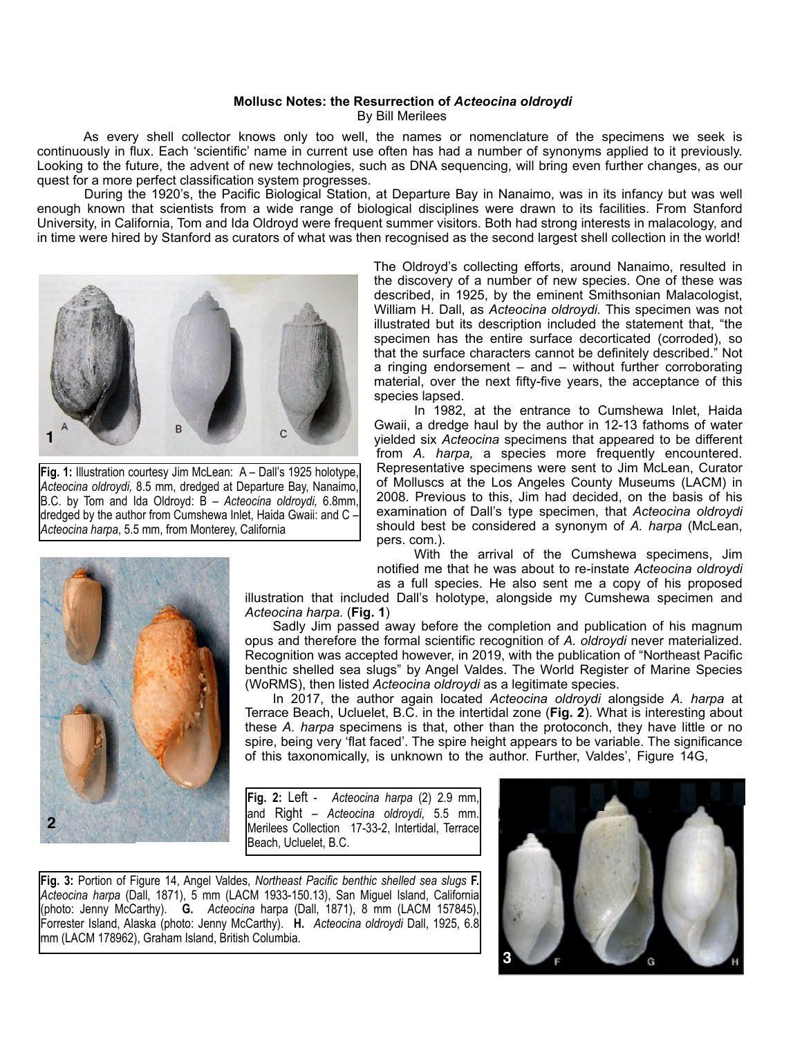## **Mollusc Notes: the Resurrection of** *Acteocina oldroydi* By Bill Merilees

 As every shell collector knows only too well, the names or nomenclature of the specimens we seek is continuously in flux. Each 'scientific' name in current use often has had a number of synonyms applied to it previously. Looking to the future, the advent of new technologies, such as DNA sequencing, will bring even further changes, as our quest for a more perfect classification system progresses.

 During the 1920's, the Pacific Biological Station, at Departure Bay in Nanaimo, was in its infancy but was well enough known that scientists from a wide range of biological disciplines were drawn to its facilities. From Stanford University, in California, Tom and Ida Oldroyd were frequent summer visitors. Both had strong interests in malacology, and in time were hired by Stanford as curators of what was then recognised as the second largest shell collection in the world!



**Fig. 1:** Illustration courtesy Jim McLean: A – Dall's 1925 holotype, *Acteocina oldroydi,* 8.5 mm, dredged at Departure Bay, Nanaimo, B.C. by Tom and Ida Oldroyd: B – *Acteocina oldroydi,* 6.8mm, dredged by the author from Cumshewa Inlet, Haida Gwaii: and C – *Acteocina harpa*, 5.5 mm, from Monterey, California

The Oldroyd's collecting efforts, around Nanaimo, resulted in the discovery of a number of new species. One of these was described, in 1925, by the eminent Smithsonian Malacologist, William H. Dall, as *Acteocina oldroydi.* This specimen was not illustrated but its description included the statement that, "the specimen has the entire surface decorticated (corroded), so that the surface characters cannot be definitely described." Not a ringing endorsement – and – without further corroborating material, over the next fifty-five years, the acceptance of this species lapsed.

 In 1982, at the entrance to Cumshewa Inlet, Haida Gwaii, a dredge haul by the author in 12-13 fathoms of water yielded six *Acteocina* specimens that appeared to be different from *A. harpa,* a species more frequently encountered. Representative specimens were sent to Jim McLean, Curator of Molluscs at the Los Angeles County Museums (LACM) in 2008. Previous to this, Jim had decided, on the basis of his examination of Dall's type specimen, that *Acteocina oldroydi*  should best be considered a synonym of *A. harpa* (McLean, pers. com.).

 With the arrival of the Cumshewa specimens, Jim notified me that he was about to re-instate *Acteocina oldroydi*  as a full species. He also sent me a copy of his proposed



illustration that included Dall's holotype, alongside my Cumshewa specimen and *Acteocina harpa.* (**Fig. 1**)

 Sadly Jim passed away before the completion and publication of his magnum opus and therefore the formal scientific recognition of *A. oldroydi* never materialized. Recognition was accepted however, in 2019, with the publication of "Northeast Pacific benthic shelled sea slugs" by Angel Valdes. The World Register of Marine Species (WoRMS), then listed *Acteocina oldroydi* as a legitimate species.

 In 2017, the author again located *Acteocina oldroydi* alongside *A. harpa* at Terrace Beach, Ucluelet, B.C. in the intertidal zone (**Fig. 2**). What is interesting about these *A. harpa* specimens is that, other than the protoconch, they have little or no spire, being very 'flat faced'. The spire height appears to be variable. The significance of this taxonomically, is unknown to the author. Further, Valdes', Figure 14G,

**Fig. 2:** Left - *Acteocina harpa* (2) 2.9 mm, and Right – *Acteocina oldroydi*, 5.5 mm. Merilees Collection 17-33-2, Intertidal, Terrace Beach, Ucluelet, B.C.

**Fig. 3:** Portion of Figure 14, Angel Valdes, *Northeast Pacific benthic shelled sea slugs* **F.** *Acteocina harpa* (Dall, 1871), 5 mm (LACM 1933-150.13), San Miguel Island, California (photo: Jenny McCarthy). **G.** *Acteocina* harpa (Dall, 1871), 8 mm (LACM 157845), Forrester Island, Alaska (photo: Jenny McCarthy).**H.** *Acteocina oldroydi* Dall, 1925, 6.8 mm (LACM 178962), Graham Island, British Columbia.